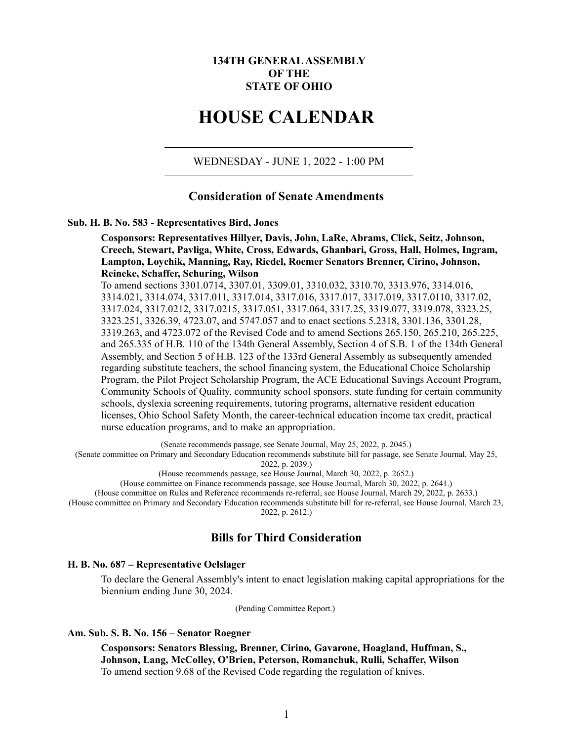# **134TH GENERAL ASSEMBLY OF THE STATE OF OHIO**

# **HOUSE CALENDAR**

WEDNESDAY - JUNE 1, 2022 - 1:00 PM

# **Consideration of Senate Amendments**

### **Sub. H. B. No. 583 - Representatives Bird, Jones**

**Cosponsors: Representatives Hillyer, Davis, John, LaRe, Abrams, Click, Seitz, Johnson, Creech, Stewart, Pavliga, White, Cross, Edwards, Ghanbari, Gross, Hall, Holmes, Ingram, Lampton, Loychik, Manning, Ray, Riedel, Roemer Senators Brenner, Cirino, Johnson, Reineke, Schaffer, Schuring, Wilson**

To amend sections 3301.0714, 3307.01, 3309.01, 3310.032, 3310.70, 3313.976, 3314.016, 3314.021, 3314.074, 3317.011, 3317.014, 3317.016, 3317.017, 3317.019, 3317.0110, 3317.02, 3317.024, 3317.0212, 3317.0215, 3317.051, 3317.064, 3317.25, 3319.077, 3319.078, 3323.25, 3323.251, 3326.39, 4723.07, and 5747.057 and to enact sections 5.2318, 3301.136, 3301.28, 3319.263, and 4723.072 of the Revised Code and to amend Sections 265.150, 265.210, 265.225, and 265.335 of H.B. 110 of the 134th General Assembly, Section 4 of S.B. 1 of the 134th General Assembly, and Section 5 of H.B. 123 of the 133rd General Assembly as subsequently amended regarding substitute teachers, the school financing system, the Educational Choice Scholarship Program, the Pilot Project Scholarship Program, the ACE Educational Savings Account Program, Community Schools of Quality, community school sponsors, state funding for certain community schools, dyslexia screening requirements, tutoring programs, alternative resident education licenses, Ohio School Safety Month, the career-technical education income tax credit, practical nurse education programs, and to make an appropriation.

(Senate recommends passage, see Senate Journal, May 25, 2022, p. 2045.)

(Senate committee on Primary and Secondary Education recommends substitute bill for passage, see Senate Journal, May 25,

2022, p. 2039.)

(House recommends passage, see House Journal, March 30, 2022, p. 2652.)

(House committee on Finance recommends passage, see House Journal, March 30, 2022, p. 2641.)

(House committee on Rules and Reference recommends re-referral, see House Journal, March 29, 2022, p. 2633.)

(House committee on Primary and Secondary Education recommends substitute bill for re-referral, see House Journal, March 23, 2022, p. 2612.)

# **Bills for Third Consideration**

#### **H. B. No. 687 – Representative Oelslager**

To declare the General Assembly's intent to enact legislation making capital appropriations for the biennium ending June 30, 2024.

(Pending Committee Report.)

# **Am. Sub. S. B. No. 156 – Senator Roegner**

**Cosponsors: Senators Blessing, Brenner, Cirino, Gavarone, Hoagland, Huffman, S., Johnson, Lang, McColley, O'Brien, Peterson, Romanchuk, Rulli, Schaffer, Wilson** To amend section 9.68 of the Revised Code regarding the regulation of knives.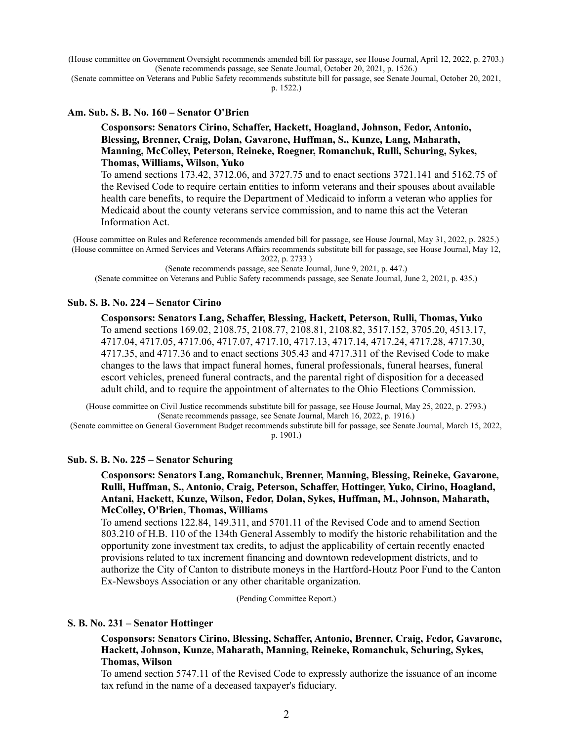(House committee on Government Oversight recommends amended bill for passage, see House Journal, April 12, 2022, p. 2703.) (Senate recommends passage, see Senate Journal, October 20, 2021, p. 1526.)

(Senate committee on Veterans and Public Safety recommends substitute bill for passage, see Senate Journal, October 20, 2021, p. 1522.)

### **Am. Sub. S. B. No. 160 – Senator O'Brien**

### **Cosponsors: Senators Cirino, Schaffer, Hackett, Hoagland, Johnson, Fedor, Antonio, Blessing, Brenner, Craig, Dolan, Gavarone, Huffman, S., Kunze, Lang, Maharath, Manning, McColley, Peterson, Reineke, Roegner, Romanchuk, Rulli, Schuring, Sykes, Thomas, Williams, Wilson, Yuko**

To amend sections 173.42, 3712.06, and 3727.75 and to enact sections 3721.141 and 5162.75 of the Revised Code to require certain entities to inform veterans and their spouses about available health care benefits, to require the Department of Medicaid to inform a veteran who applies for Medicaid about the county veterans service commission, and to name this act the Veteran Information Act.

(House committee on Rules and Reference recommends amended bill for passage, see House Journal, May 31, 2022, p. 2825.) (House committee on Armed Services and Veterans Affairs recommends substitute bill for passage, see House Journal, May 12,

2022, p. 2733.)

(Senate recommends passage, see Senate Journal, June 9, 2021, p. 447.)

(Senate committee on Veterans and Public Safety recommends passage, see Senate Journal, June 2, 2021, p. 435.)

### **Sub. S. B. No. 224 – Senator Cirino**

**Cosponsors: Senators Lang, Schaffer, Blessing, Hackett, Peterson, Rulli, Thomas, Yuko** To amend sections 169.02, 2108.75, 2108.77, 2108.81, 2108.82, 3517.152, 3705.20, 4513.17, 4717.04, 4717.05, 4717.06, 4717.07, 4717.10, 4717.13, 4717.14, 4717.24, 4717.28, 4717.30, 4717.35, and 4717.36 and to enact sections 305.43 and 4717.311 of the Revised Code to make changes to the laws that impact funeral homes, funeral professionals, funeral hearses, funeral escort vehicles, preneed funeral contracts, and the parental right of disposition for a deceased adult child, and to require the appointment of alternates to the Ohio Elections Commission.

(House committee on Civil Justice recommends substitute bill for passage, see House Journal, May 25, 2022, p. 2793.) (Senate recommends passage, see Senate Journal, March 16, 2022, p. 1916.)

(Senate committee on General Government Budget recommends substitute bill for passage, see Senate Journal, March 15, 2022, p. 1901.)

### **Sub. S. B. No. 225 – Senator Schuring**

**Cosponsors: Senators Lang, Romanchuk, Brenner, Manning, Blessing, Reineke, Gavarone, Rulli, Huffman, S., Antonio, Craig, Peterson, Schaffer, Hottinger, Yuko, Cirino, Hoagland, Antani, Hackett, Kunze, Wilson, Fedor, Dolan, Sykes, Huffman, M., Johnson, Maharath, McColley, O'Brien, Thomas, Williams**

To amend sections 122.84, 149.311, and 5701.11 of the Revised Code and to amend Section 803.210 of H.B. 110 of the 134th General Assembly to modify the historic rehabilitation and the opportunity zone investment tax credits, to adjust the applicability of certain recently enacted provisions related to tax increment financing and downtown redevelopment districts, and to authorize the City of Canton to distribute moneys in the Hartford-Houtz Poor Fund to the Canton Ex-Newsboys Association or any other charitable organization.

(Pending Committee Report.)

### **S. B. No. 231 – Senator Hottinger**

**Cosponsors: Senators Cirino, Blessing, Schaffer, Antonio, Brenner, Craig, Fedor, Gavarone, Hackett, Johnson, Kunze, Maharath, Manning, Reineke, Romanchuk, Schuring, Sykes, Thomas, Wilson**

To amend section 5747.11 of the Revised Code to expressly authorize the issuance of an income tax refund in the name of a deceased taxpayer's fiduciary.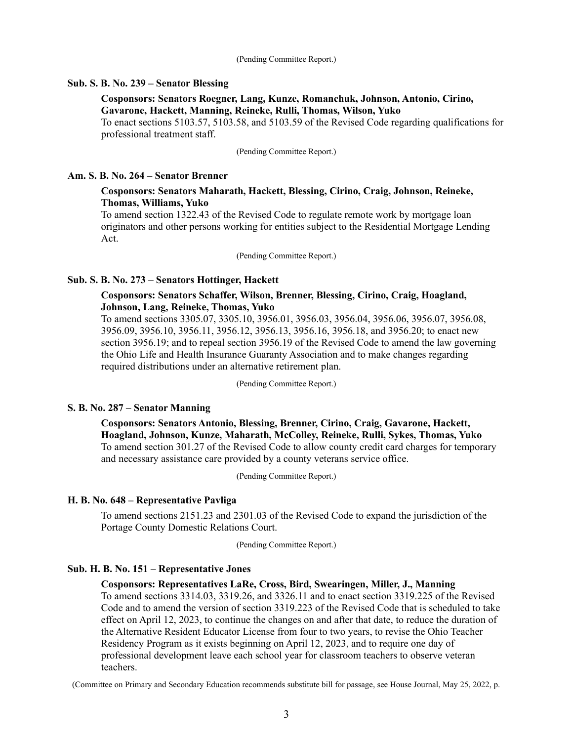#### (Pending Committee Report.)

### **Sub. S. B. No. 239 – Senator Blessing**

### **Cosponsors: Senators Roegner, Lang, Kunze, Romanchuk, Johnson, Antonio, Cirino, Gavarone, Hackett, Manning, Reineke, Rulli, Thomas, Wilson, Yuko**

To enact sections 5103.57, 5103.58, and 5103.59 of the Revised Code regarding qualifications for professional treatment staff.

(Pending Committee Report.)

### **Am. S. B. No. 264 – Senator Brenner**

# **Cosponsors: Senators Maharath, Hackett, Blessing, Cirino, Craig, Johnson, Reineke, Thomas, Williams, Yuko**

To amend section 1322.43 of the Revised Code to regulate remote work by mortgage loan originators and other persons working for entities subject to the Residential Mortgage Lending Act.

(Pending Committee Report.)

### **Sub. S. B. No. 273 – Senators Hottinger, Hackett**

### **Cosponsors: Senators Schaffer, Wilson, Brenner, Blessing, Cirino, Craig, Hoagland, Johnson, Lang, Reineke, Thomas, Yuko**

To amend sections 3305.07, 3305.10, 3956.01, 3956.03, 3956.04, 3956.06, 3956.07, 3956.08, 3956.09, 3956.10, 3956.11, 3956.12, 3956.13, 3956.16, 3956.18, and 3956.20; to enact new section 3956.19; and to repeal section 3956.19 of the Revised Code to amend the law governing the Ohio Life and Health Insurance Guaranty Association and to make changes regarding required distributions under an alternative retirement plan.

(Pending Committee Report.)

### **S. B. No. 287 – Senator Manning**

**Cosponsors: Senators Antonio, Blessing, Brenner, Cirino, Craig, Gavarone, Hackett, Hoagland, Johnson, Kunze, Maharath, McColley, Reineke, Rulli, Sykes, Thomas, Yuko** To amend section 301.27 of the Revised Code to allow county credit card charges for temporary and necessary assistance care provided by a county veterans service office.

(Pending Committee Report.)

### **H. B. No. 648 – Representative Pavliga**

To amend sections 2151.23 and 2301.03 of the Revised Code to expand the jurisdiction of the Portage County Domestic Relations Court.

(Pending Committee Report.)

### **Sub. H. B. No. 151 – Representative Jones**

#### **Cosponsors: Representatives LaRe, Cross, Bird, Swearingen, Miller, J., Manning**

To amend sections 3314.03, 3319.26, and 3326.11 and to enact section 3319.225 of the Revised Code and to amend the version of section 3319.223 of the Revised Code that is scheduled to take effect on April 12, 2023, to continue the changes on and after that date, to reduce the duration of the Alternative Resident Educator License from four to two years, to revise the Ohio Teacher Residency Program as it exists beginning on April 12, 2023, and to require one day of professional development leave each school year for classroom teachers to observe veteran teachers.

(Committee on Primary and Secondary Education recommends substitute bill for passage, see House Journal, May 25, 2022, p.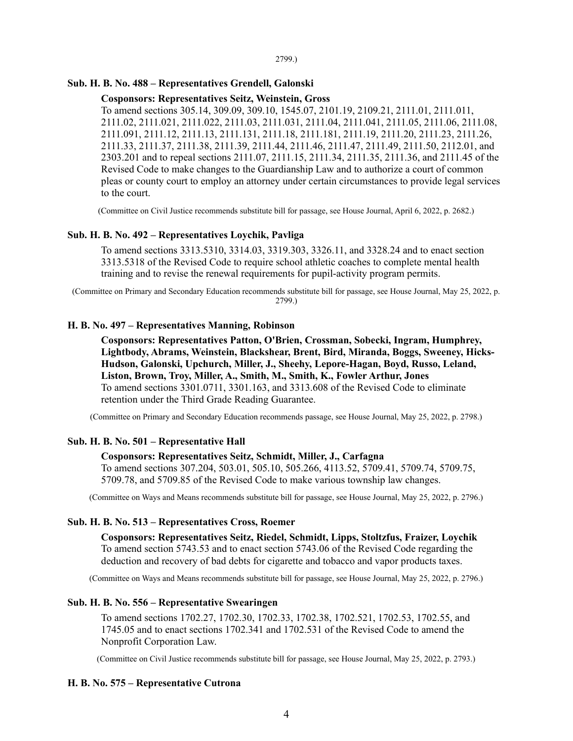# **Sub. H. B. No. 488 – Representatives Grendell, Galonski**

### **Cosponsors: Representatives Seitz, Weinstein, Gross**

To amend sections 305.14, 309.09, 309.10, 1545.07, 2101.19, 2109.21, 2111.01, 2111.011, 2111.02, 2111.021, 2111.022, 2111.03, 2111.031, 2111.04, 2111.041, 2111.05, 2111.06, 2111.08, 2111.091, 2111.12, 2111.13, 2111.131, 2111.18, 2111.181, 2111.19, 2111.20, 2111.23, 2111.26, 2111.33, 2111.37, 2111.38, 2111.39, 2111.44, 2111.46, 2111.47, 2111.49, 2111.50, 2112.01, and 2303.201 and to repeal sections 2111.07, 2111.15, 2111.34, 2111.35, 2111.36, and 2111.45 of the Revised Code to make changes to the Guardianship Law and to authorize a court of common pleas or county court to employ an attorney under certain circumstances to provide legal services to the court.

(Committee on Civil Justice recommends substitute bill for passage, see House Journal, April 6, 2022, p. 2682.)

### **Sub. H. B. No. 492 – Representatives Loychik, Pavliga**

To amend sections 3313.5310, 3314.03, 3319.303, 3326.11, and 3328.24 and to enact section 3313.5318 of the Revised Code to require school athletic coaches to complete mental health training and to revise the renewal requirements for pupil-activity program permits.

(Committee on Primary and Secondary Education recommends substitute bill for passage, see House Journal, May 25, 2022, p. 2799.)

### **H. B. No. 497 – Representatives Manning, Robinson**

**Cosponsors: Representatives Patton, O'Brien, Crossman, Sobecki, Ingram, Humphrey, Lightbody, Abrams, Weinstein, Blackshear, Brent, Bird, Miranda, Boggs, Sweeney, Hicks-Hudson, Galonski, Upchurch, Miller, J., Sheehy, Lepore-Hagan, Boyd, Russo, Leland, Liston, Brown, Troy, Miller, A., Smith, M., Smith, K., Fowler Arthur, Jones** To amend sections 3301.0711, 3301.163, and 3313.608 of the Revised Code to eliminate retention under the Third Grade Reading Guarantee.

(Committee on Primary and Secondary Education recommends passage, see House Journal, May 25, 2022, p. 2798.)

### **Sub. H. B. No. 501 – Representative Hall**

#### **Cosponsors: Representatives Seitz, Schmidt, Miller, J., Carfagna**

To amend sections 307.204, 503.01, 505.10, 505.266, 4113.52, 5709.41, 5709.74, 5709.75, 5709.78, and 5709.85 of the Revised Code to make various township law changes.

(Committee on Ways and Means recommends substitute bill for passage, see House Journal, May 25, 2022, p. 2796.)

### **Sub. H. B. No. 513 – Representatives Cross, Roemer**

**Cosponsors: Representatives Seitz, Riedel, Schmidt, Lipps, Stoltzfus, Fraizer, Loychik** To amend section 5743.53 and to enact section 5743.06 of the Revised Code regarding the deduction and recovery of bad debts for cigarette and tobacco and vapor products taxes.

(Committee on Ways and Means recommends substitute bill for passage, see House Journal, May 25, 2022, p. 2796.)

#### **Sub. H. B. No. 556 – Representative Swearingen**

To amend sections 1702.27, 1702.30, 1702.33, 1702.38, 1702.521, 1702.53, 1702.55, and 1745.05 and to enact sections 1702.341 and 1702.531 of the Revised Code to amend the Nonprofit Corporation Law.

(Committee on Civil Justice recommends substitute bill for passage, see House Journal, May 25, 2022, p. 2793.)

### **H. B. No. 575 – Representative Cutrona**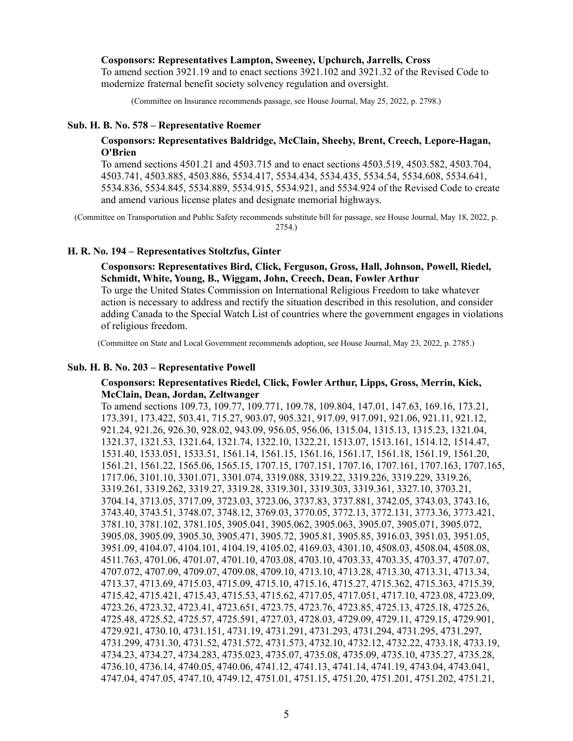#### **Cosponsors: Representatives Lampton, Sweeney, Upchurch, Jarrells, Cross**

To amend section 3921.19 and to enact sections 3921.102 and 3921.32 of the Revised Code to modernize fraternal benefit society solvency regulation and oversight.

(Committee on Insurance recommends passage, see House Journal, May 25, 2022, p. 2798.)

### **Sub. H. B. No. 578 – Representative Roemer**

# **Cosponsors: Representatives Baldridge, McClain, Sheehy, Brent, Creech, Lepore-Hagan, O'Brien**

To amend sections 4501.21 and 4503.715 and to enact sections 4503.519, 4503.582, 4503.704, 4503.741, 4503.885, 4503.886, 5534.417, 5534.434, 5534.435, 5534.54, 5534.608, 5534.641, 5534.836, 5534.845, 5534.889, 5534.915, 5534.921, and 5534.924 of the Revised Code to create and amend various license plates and designate memorial highways.

(Committee on Transportation and Public Safety recommends substitute bill for passage, see House Journal, May 18, 2022, p. 2754.)

### **H. R. No. 194 – Representatives Stoltzfus, Ginter**

### **Cosponsors: Representatives Bird, Click, Ferguson, Gross, Hall, Johnson, Powell, Riedel, Schmidt, White, Young, B., Wiggam, John, Creech, Dean, Fowler Arthur**

To urge the United States Commission on International Religious Freedom to take whatever action is necessary to address and rectify the situation described in this resolution, and consider adding Canada to the Special Watch List of countries where the government engages in violations of religious freedom.

(Committee on State and Local Government recommends adoption, see House Journal, May 23, 2022, p. 2785.)

### **Sub. H. B. No. 203 – Representative Powell**

### **Cosponsors: Representatives Riedel, Click, Fowler Arthur, Lipps, Gross, Merrin, Kick, McClain, Dean, Jordan, Zeltwanger**

To amend sections 109.73, 109.77, 109.771, 109.78, 109.804, 147.01, 147.63, 169.16, 173.21, 173.391, 173.422, 503.41, 715.27, 903.07, 905.321, 917.09, 917.091, 921.06, 921.11, 921.12, 921.24, 921.26, 926.30, 928.02, 943.09, 956.05, 956.06, 1315.04, 1315.13, 1315.23, 1321.04, 1321.37, 1321.53, 1321.64, 1321.74, 1322.10, 1322.21, 1513.07, 1513.161, 1514.12, 1514.47, 1531.40, 1533.051, 1533.51, 1561.14, 1561.15, 1561.16, 1561.17, 1561.18, 1561.19, 1561.20, 1561.21, 1561.22, 1565.06, 1565.15, 1707.15, 1707.151, 1707.16, 1707.161, 1707.163, 1707.165, 1717.06, 3101.10, 3301.071, 3301.074, 3319.088, 3319.22, 3319.226, 3319.229, 3319.26, 3319.261, 3319.262, 3319.27, 3319.28, 3319.301, 3319.303, 3319.361, 3327.10, 3703.21, 3704.14, 3713.05, 3717.09, 3723.03, 3723.06, 3737.83, 3737.881, 3742.05, 3743.03, 3743.16, 3743.40, 3743.51, 3748.07, 3748.12, 3769.03, 3770.05, 3772.13, 3772.131, 3773.36, 3773.421, 3781.10, 3781.102, 3781.105, 3905.041, 3905.062, 3905.063, 3905.07, 3905.071, 3905.072, 3905.08, 3905.09, 3905.30, 3905.471, 3905.72, 3905.81, 3905.85, 3916.03, 3951.03, 3951.05, 3951.09, 4104.07, 4104.101, 4104.19, 4105.02, 4169.03, 4301.10, 4508.03, 4508.04, 4508.08, 4511.763, 4701.06, 4701.07, 4701.10, 4703.08, 4703.10, 4703.33, 4703.35, 4703.37, 4707.07, 4707.072, 4707.09, 4709.07, 4709.08, 4709.10, 4713.10, 4713.28, 4713.30, 4713.31, 4713.34, 4713.37, 4713.69, 4715.03, 4715.09, 4715.10, 4715.16, 4715.27, 4715.362, 4715.363, 4715.39, 4715.42, 4715.421, 4715.43, 4715.53, 4715.62, 4717.05, 4717.051, 4717.10, 4723.08, 4723.09, 4723.26, 4723.32, 4723.41, 4723.651, 4723.75, 4723.76, 4723.85, 4725.13, 4725.18, 4725.26, 4725.48, 4725.52, 4725.57, 4725.591, 4727.03, 4728.03, 4729.09, 4729.11, 4729.15, 4729.901, 4729.921, 4730.10, 4731.151, 4731.19, 4731.291, 4731.293, 4731.294, 4731.295, 4731.297, 4731.299, 4731.30, 4731.52, 4731.572, 4731.573, 4732.10, 4732.12, 4732.22, 4733.18, 4733.19, 4734.23, 4734.27, 4734.283, 4735.023, 4735.07, 4735.08, 4735.09, 4735.10, 4735.27, 4735.28, 4736.10, 4736.14, 4740.05, 4740.06, 4741.12, 4741.13, 4741.14, 4741.19, 4743.04, 4743.041, 4747.04, 4747.05, 4747.10, 4749.12, 4751.01, 4751.15, 4751.20, 4751.201, 4751.202, 4751.21,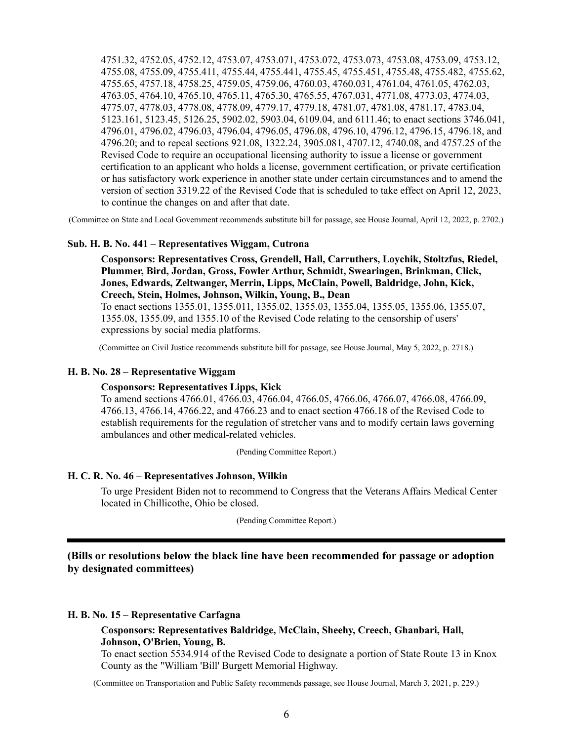4751.32, 4752.05, 4752.12, 4753.07, 4753.071, 4753.072, 4753.073, 4753.08, 4753.09, 4753.12, 4755.08, 4755.09, 4755.411, 4755.44, 4755.441, 4755.45, 4755.451, 4755.48, 4755.482, 4755.62, 4755.65, 4757.18, 4758.25, 4759.05, 4759.06, 4760.03, 4760.031, 4761.04, 4761.05, 4762.03, 4763.05, 4764.10, 4765.10, 4765.11, 4765.30, 4765.55, 4767.031, 4771.08, 4773.03, 4774.03, 4775.07, 4778.03, 4778.08, 4778.09, 4779.17, 4779.18, 4781.07, 4781.08, 4781.17, 4783.04, 5123.161, 5123.45, 5126.25, 5902.02, 5903.04, 6109.04, and 6111.46; to enact sections 3746.041, 4796.01, 4796.02, 4796.03, 4796.04, 4796.05, 4796.08, 4796.10, 4796.12, 4796.15, 4796.18, and 4796.20; and to repeal sections 921.08, 1322.24, 3905.081, 4707.12, 4740.08, and 4757.25 of the Revised Code to require an occupational licensing authority to issue a license or government certification to an applicant who holds a license, government certification, or private certification or has satisfactory work experience in another state under certain circumstances and to amend the version of section 3319.22 of the Revised Code that is scheduled to take effect on April 12, 2023, to continue the changes on and after that date.

(Committee on State and Local Government recommends substitute bill for passage, see House Journal, April 12, 2022, p. 2702.)

### **Sub. H. B. No. 441 – Representatives Wiggam, Cutrona**

**Cosponsors: Representatives Cross, Grendell, Hall, Carruthers, Loychik, Stoltzfus, Riedel, Plummer, Bird, Jordan, Gross, Fowler Arthur, Schmidt, Swearingen, Brinkman, Click, Jones, Edwards, Zeltwanger, Merrin, Lipps, McClain, Powell, Baldridge, John, Kick, Creech, Stein, Holmes, Johnson, Wilkin, Young, B., Dean**

To enact sections 1355.01, 1355.011, 1355.02, 1355.03, 1355.04, 1355.05, 1355.06, 1355.07, 1355.08, 1355.09, and 1355.10 of the Revised Code relating to the censorship of users' expressions by social media platforms.

(Committee on Civil Justice recommends substitute bill for passage, see House Journal, May 5, 2022, p. 2718.)

### **H. B. No. 28 – Representative Wiggam**

#### **Cosponsors: Representatives Lipps, Kick**

To amend sections 4766.01, 4766.03, 4766.04, 4766.05, 4766.06, 4766.07, 4766.08, 4766.09, 4766.13, 4766.14, 4766.22, and 4766.23 and to enact section 4766.18 of the Revised Code to establish requirements for the regulation of stretcher vans and to modify certain laws governing ambulances and other medical-related vehicles.

(Pending Committee Report.)

#### **H. C. R. No. 46 – Representatives Johnson, Wilkin**

To urge President Biden not to recommend to Congress that the Veterans Affairs Medical Center located in Chillicothe, Ohio be closed.

(Pending Committee Report.)

**(Bills or resolutions below the black line have been recommended for passage or adoption by designated committees)**

#### **H. B. No. 15 – Representative Carfagna**

### **Cosponsors: Representatives Baldridge, McClain, Sheehy, Creech, Ghanbari, Hall, Johnson, O'Brien, Young, B.**

To enact section 5534.914 of the Revised Code to designate a portion of State Route 13 in Knox County as the "William 'Bill' Burgett Memorial Highway.

(Committee on Transportation and Public Safety recommends passage, see House Journal, March 3, 2021, p. 229.)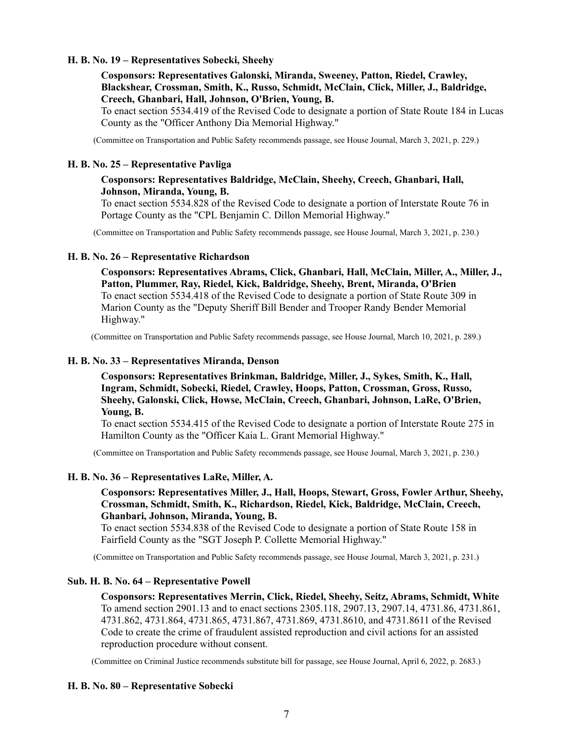## **H. B. No. 19 – Representatives Sobecki, Sheehy**

**Cosponsors: Representatives Galonski, Miranda, Sweeney, Patton, Riedel, Crawley, Blackshear, Crossman, Smith, K., Russo, Schmidt, McClain, Click, Miller, J., Baldridge, Creech, Ghanbari, Hall, Johnson, O'Brien, Young, B.**

To enact section 5534.419 of the Revised Code to designate a portion of State Route 184 in Lucas County as the "Officer Anthony Dia Memorial Highway."

(Committee on Transportation and Public Safety recommends passage, see House Journal, March 3, 2021, p. 229.)

### **H. B. No. 25 – Representative Pavliga**

# **Cosponsors: Representatives Baldridge, McClain, Sheehy, Creech, Ghanbari, Hall, Johnson, Miranda, Young, B.**

To enact section 5534.828 of the Revised Code to designate a portion of Interstate Route 76 in Portage County as the "CPL Benjamin C. Dillon Memorial Highway."

(Committee on Transportation and Public Safety recommends passage, see House Journal, March 3, 2021, p. 230.)

#### **H. B. No. 26 – Representative Richardson**

**Cosponsors: Representatives Abrams, Click, Ghanbari, Hall, McClain, Miller, A., Miller, J., Patton, Plummer, Ray, Riedel, Kick, Baldridge, Sheehy, Brent, Miranda, O'Brien** To enact section 5534.418 of the Revised Code to designate a portion of State Route 309 in Marion County as the "Deputy Sheriff Bill Bender and Trooper Randy Bender Memorial Highway."

(Committee on Transportation and Public Safety recommends passage, see House Journal, March 10, 2021, p. 289.)

### **H. B. No. 33 – Representatives Miranda, Denson**

**Cosponsors: Representatives Brinkman, Baldridge, Miller, J., Sykes, Smith, K., Hall, Ingram, Schmidt, Sobecki, Riedel, Crawley, Hoops, Patton, Crossman, Gross, Russo, Sheehy, Galonski, Click, Howse, McClain, Creech, Ghanbari, Johnson, LaRe, O'Brien, Young, B.**

To enact section 5534.415 of the Revised Code to designate a portion of Interstate Route 275 in Hamilton County as the "Officer Kaia L. Grant Memorial Highway."

(Committee on Transportation and Public Safety recommends passage, see House Journal, March 3, 2021, p. 230.)

#### **H. B. No. 36 – Representatives LaRe, Miller, A.**

**Cosponsors: Representatives Miller, J., Hall, Hoops, Stewart, Gross, Fowler Arthur, Sheehy, Crossman, Schmidt, Smith, K., Richardson, Riedel, Kick, Baldridge, McClain, Creech, Ghanbari, Johnson, Miranda, Young, B.**

To enact section 5534.838 of the Revised Code to designate a portion of State Route 158 in Fairfield County as the "SGT Joseph P. Collette Memorial Highway."

(Committee on Transportation and Public Safety recommends passage, see House Journal, March 3, 2021, p. 231.)

### **Sub. H. B. No. 64 – Representative Powell**

**Cosponsors: Representatives Merrin, Click, Riedel, Sheehy, Seitz, Abrams, Schmidt, White** To amend section 2901.13 and to enact sections 2305.118, 2907.13, 2907.14, 4731.86, 4731.861, 4731.862, 4731.864, 4731.865, 4731.867, 4731.869, 4731.8610, and 4731.8611 of the Revised Code to create the crime of fraudulent assisted reproduction and civil actions for an assisted reproduction procedure without consent.

(Committee on Criminal Justice recommends substitute bill for passage, see House Journal, April 6, 2022, p. 2683.)

#### **H. B. No. 80 – Representative Sobecki**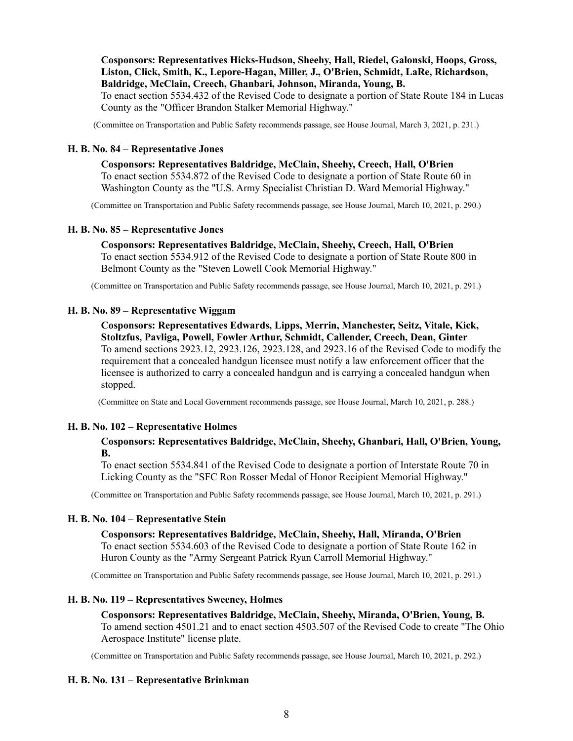**Cosponsors: Representatives Hicks-Hudson, Sheehy, Hall, Riedel, Galonski, Hoops, Gross, Liston, Click, Smith, K., Lepore-Hagan, Miller, J., O'Brien, Schmidt, LaRe, Richardson, Baldridge, McClain, Creech, Ghanbari, Johnson, Miranda, Young, B.**

To enact section 5534.432 of the Revised Code to designate a portion of State Route 184 in Lucas County as the "Officer Brandon Stalker Memorial Highway."

(Committee on Transportation and Public Safety recommends passage, see House Journal, March 3, 2021, p. 231.)

# **H. B. No. 84 – Representative Jones**

**Cosponsors: Representatives Baldridge, McClain, Sheehy, Creech, Hall, O'Brien** To enact section 5534.872 of the Revised Code to designate a portion of State Route 60 in Washington County as the "U.S. Army Specialist Christian D. Ward Memorial Highway."

(Committee on Transportation and Public Safety recommends passage, see House Journal, March 10, 2021, p. 290.)

## **H. B. No. 85 – Representative Jones**

**Cosponsors: Representatives Baldridge, McClain, Sheehy, Creech, Hall, O'Brien** To enact section 5534.912 of the Revised Code to designate a portion of State Route 800 in Belmont County as the "Steven Lowell Cook Memorial Highway."

(Committee on Transportation and Public Safety recommends passage, see House Journal, March 10, 2021, p. 291.)

## **H. B. No. 89 – Representative Wiggam**

**Cosponsors: Representatives Edwards, Lipps, Merrin, Manchester, Seitz, Vitale, Kick, Stoltzfus, Pavliga, Powell, Fowler Arthur, Schmidt, Callender, Creech, Dean, Ginter** To amend sections 2923.12, 2923.126, 2923.128, and 2923.16 of the Revised Code to modify the requirement that a concealed handgun licensee must notify a law enforcement officer that the licensee is authorized to carry a concealed handgun and is carrying a concealed handgun when stopped.

(Committee on State and Local Government recommends passage, see House Journal, March 10, 2021, p. 288.)

# **H. B. No. 102 – Representative Holmes**

# **Cosponsors: Representatives Baldridge, McClain, Sheehy, Ghanbari, Hall, O'Brien, Young, B.**

To enact section 5534.841 of the Revised Code to designate a portion of Interstate Route 70 in Licking County as the "SFC Ron Rosser Medal of Honor Recipient Memorial Highway."

(Committee on Transportation and Public Safety recommends passage, see House Journal, March 10, 2021, p. 291.)

# **H. B. No. 104 – Representative Stein**

### **Cosponsors: Representatives Baldridge, McClain, Sheehy, Hall, Miranda, O'Brien**

To enact section 5534.603 of the Revised Code to designate a portion of State Route 162 in Huron County as the "Army Sergeant Patrick Ryan Carroll Memorial Highway."

(Committee on Transportation and Public Safety recommends passage, see House Journal, March 10, 2021, p. 291.)

# **H. B. No. 119 – Representatives Sweeney, Holmes**

### **Cosponsors: Representatives Baldridge, McClain, Sheehy, Miranda, O'Brien, Young, B.** To amend section 4501.21 and to enact section 4503.507 of the Revised Code to create "The Ohio

Aerospace Institute" license plate.

(Committee on Transportation and Public Safety recommends passage, see House Journal, March 10, 2021, p. 292.)

# **H. B. No. 131 – Representative Brinkman**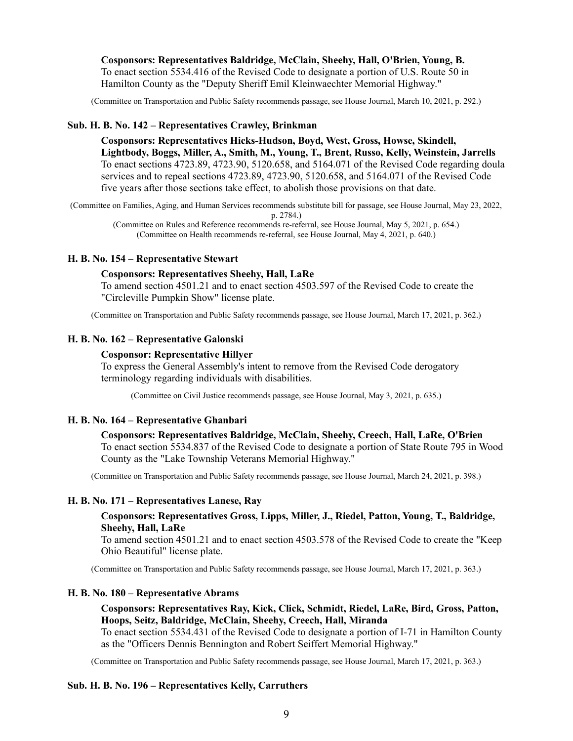**Cosponsors: Representatives Baldridge, McClain, Sheehy, Hall, O'Brien, Young, B.** To enact section 5534.416 of the Revised Code to designate a portion of U.S. Route 50 in Hamilton County as the "Deputy Sheriff Emil Kleinwaechter Memorial Highway."

(Committee on Transportation and Public Safety recommends passage, see House Journal, March 10, 2021, p. 292.)

### **Sub. H. B. No. 142 – Representatives Crawley, Brinkman**

**Cosponsors: Representatives Hicks-Hudson, Boyd, West, Gross, Howse, Skindell, Lightbody, Boggs, Miller, A., Smith, M., Young, T., Brent, Russo, Kelly, Weinstein, Jarrells** To enact sections 4723.89, 4723.90, 5120.658, and 5164.071 of the Revised Code regarding doula services and to repeal sections 4723.89, 4723.90, 5120.658, and 5164.071 of the Revised Code five years after those sections take effect, to abolish those provisions on that date.

(Committee on Families, Aging, and Human Services recommends substitute bill for passage, see House Journal, May 23, 2022, p. 2784.)

(Committee on Rules and Reference recommends re-referral, see House Journal, May 5, 2021, p. 654.) (Committee on Health recommends re-referral, see House Journal, May 4, 2021, p. 640.)

### **H. B. No. 154 – Representative Stewart**

### **Cosponsors: Representatives Sheehy, Hall, LaRe**

To amend section 4501.21 and to enact section 4503.597 of the Revised Code to create the "Circleville Pumpkin Show" license plate.

(Committee on Transportation and Public Safety recommends passage, see House Journal, March 17, 2021, p. 362.)

### **H. B. No. 162 – Representative Galonski**

#### **Cosponsor: Representative Hillyer**

To express the General Assembly's intent to remove from the Revised Code derogatory terminology regarding individuals with disabilities.

(Committee on Civil Justice recommends passage, see House Journal, May 3, 2021, p. 635.)

#### **H. B. No. 164 – Representative Ghanbari**

### **Cosponsors: Representatives Baldridge, McClain, Sheehy, Creech, Hall, LaRe, O'Brien**

To enact section 5534.837 of the Revised Code to designate a portion of State Route 795 in Wood County as the "Lake Township Veterans Memorial Highway."

(Committee on Transportation and Public Safety recommends passage, see House Journal, March 24, 2021, p. 398.)

#### **H. B. No. 171 – Representatives Lanese, Ray**

### **Cosponsors: Representatives Gross, Lipps, Miller, J., Riedel, Patton, Young, T., Baldridge, Sheehy, Hall, LaRe**

To amend section 4501.21 and to enact section 4503.578 of the Revised Code to create the "Keep Ohio Beautiful" license plate.

(Committee on Transportation and Public Safety recommends passage, see House Journal, March 17, 2021, p. 363.)

#### **H. B. No. 180 – Representative Abrams**

# **Cosponsors: Representatives Ray, Kick, Click, Schmidt, Riedel, LaRe, Bird, Gross, Patton, Hoops, Seitz, Baldridge, McClain, Sheehy, Creech, Hall, Miranda**

To enact section 5534.431 of the Revised Code to designate a portion of I-71 in Hamilton County as the "Officers Dennis Bennington and Robert Seiffert Memorial Highway."

(Committee on Transportation and Public Safety recommends passage, see House Journal, March 17, 2021, p. 363.)

#### **Sub. H. B. No. 196 – Representatives Kelly, Carruthers**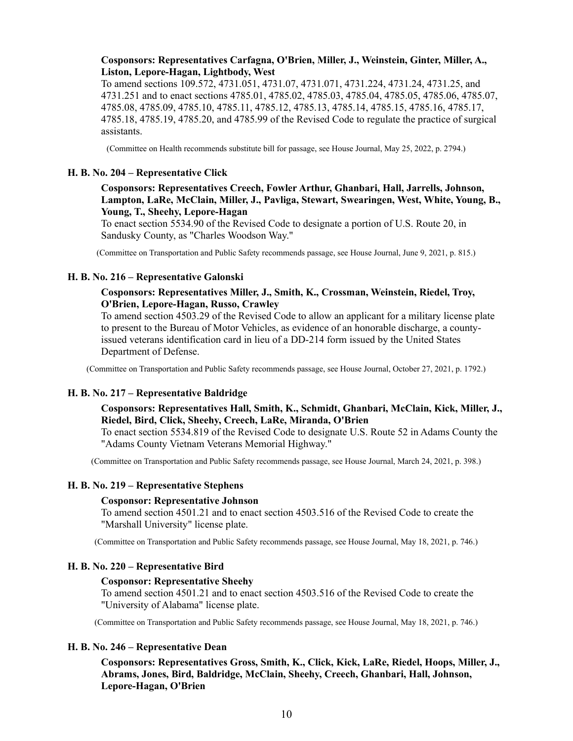### **Cosponsors: Representatives Carfagna, O'Brien, Miller, J., Weinstein, Ginter, Miller, A., Liston, Lepore-Hagan, Lightbody, West**

To amend sections 109.572, 4731.051, 4731.07, 4731.071, 4731.224, 4731.24, 4731.25, and 4731.251 and to enact sections 4785.01, 4785.02, 4785.03, 4785.04, 4785.05, 4785.06, 4785.07, 4785.08, 4785.09, 4785.10, 4785.11, 4785.12, 4785.13, 4785.14, 4785.15, 4785.16, 4785.17, 4785.18, 4785.19, 4785.20, and 4785.99 of the Revised Code to regulate the practice of surgical assistants.

(Committee on Health recommends substitute bill for passage, see House Journal, May 25, 2022, p. 2794.)

#### **H. B. No. 204 – Representative Click**

# **Cosponsors: Representatives Creech, Fowler Arthur, Ghanbari, Hall, Jarrells, Johnson, Lampton, LaRe, McClain, Miller, J., Pavliga, Stewart, Swearingen, West, White, Young, B., Young, T., Sheehy, Lepore-Hagan**

To enact section 5534.90 of the Revised Code to designate a portion of U.S. Route 20, in Sandusky County, as "Charles Woodson Way."

(Committee on Transportation and Public Safety recommends passage, see House Journal, June 9, 2021, p. 815.)

# **H. B. No. 216 – Representative Galonski**

### **Cosponsors: Representatives Miller, J., Smith, K., Crossman, Weinstein, Riedel, Troy, O'Brien, Lepore-Hagan, Russo, Crawley**

To amend section 4503.29 of the Revised Code to allow an applicant for a military license plate to present to the Bureau of Motor Vehicles, as evidence of an honorable discharge, a countyissued veterans identification card in lieu of a DD-214 form issued by the United States Department of Defense.

(Committee on Transportation and Public Safety recommends passage, see House Journal, October 27, 2021, p. 1792.)

### **H. B. No. 217 – Representative Baldridge**

# **Cosponsors: Representatives Hall, Smith, K., Schmidt, Ghanbari, McClain, Kick, Miller, J., Riedel, Bird, Click, Sheehy, Creech, LaRe, Miranda, O'Brien**

To enact section 5534.819 of the Revised Code to designate U.S. Route 52 in Adams County the "Adams County Vietnam Veterans Memorial Highway."

(Committee on Transportation and Public Safety recommends passage, see House Journal, March 24, 2021, p. 398.)

### **H. B. No. 219 – Representative Stephens**

#### **Cosponsor: Representative Johnson**

To amend section 4501.21 and to enact section 4503.516 of the Revised Code to create the "Marshall University" license plate.

(Committee on Transportation and Public Safety recommends passage, see House Journal, May 18, 2021, p. 746.)

#### **H. B. No. 220 – Representative Bird**

#### **Cosponsor: Representative Sheehy**

To amend section 4501.21 and to enact section 4503.516 of the Revised Code to create the "University of Alabama" license plate.

(Committee on Transportation and Public Safety recommends passage, see House Journal, May 18, 2021, p. 746.)

#### **H. B. No. 246 – Representative Dean**

**Cosponsors: Representatives Gross, Smith, K., Click, Kick, LaRe, Riedel, Hoops, Miller, J., Abrams, Jones, Bird, Baldridge, McClain, Sheehy, Creech, Ghanbari, Hall, Johnson, Lepore-Hagan, O'Brien**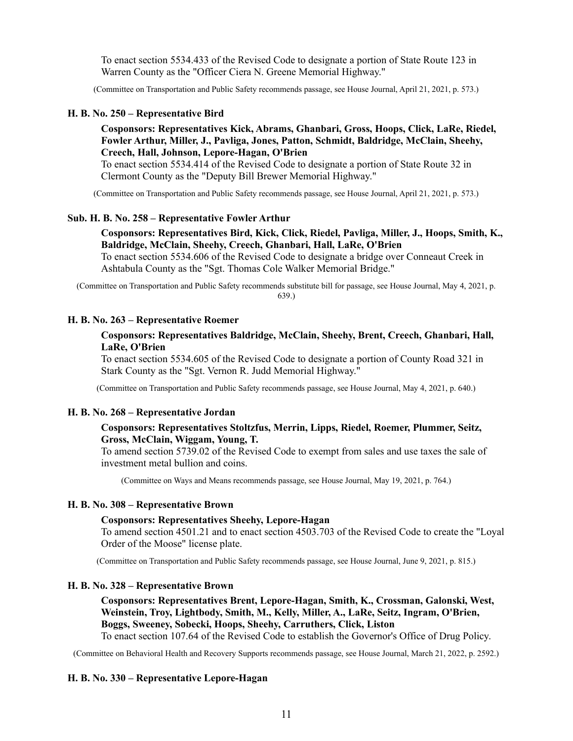To enact section 5534.433 of the Revised Code to designate a portion of State Route 123 in Warren County as the "Officer Ciera N. Greene Memorial Highway."

(Committee on Transportation and Public Safety recommends passage, see House Journal, April 21, 2021, p. 573.)

#### **H. B. No. 250 – Representative Bird**

## **Cosponsors: Representatives Kick, Abrams, Ghanbari, Gross, Hoops, Click, LaRe, Riedel, Fowler Arthur, Miller, J., Pavliga, Jones, Patton, Schmidt, Baldridge, McClain, Sheehy, Creech, Hall, Johnson, Lepore-Hagan, O'Brien**

To enact section 5534.414 of the Revised Code to designate a portion of State Route 32 in Clermont County as the "Deputy Bill Brewer Memorial Highway."

(Committee on Transportation and Public Safety recommends passage, see House Journal, April 21, 2021, p. 573.)

#### **Sub. H. B. No. 258 – Representative Fowler Arthur**

# **Cosponsors: Representatives Bird, Kick, Click, Riedel, Pavliga, Miller, J., Hoops, Smith, K., Baldridge, McClain, Sheehy, Creech, Ghanbari, Hall, LaRe, O'Brien**

To enact section 5534.606 of the Revised Code to designate a bridge over Conneaut Creek in Ashtabula County as the "Sgt. Thomas Cole Walker Memorial Bridge."

(Committee on Transportation and Public Safety recommends substitute bill for passage, see House Journal, May 4, 2021, p. 639.)

### **H. B. No. 263 – Representative Roemer**

### **Cosponsors: Representatives Baldridge, McClain, Sheehy, Brent, Creech, Ghanbari, Hall, LaRe, O'Brien**

To enact section 5534.605 of the Revised Code to designate a portion of County Road 321 in Stark County as the "Sgt. Vernon R. Judd Memorial Highway."

(Committee on Transportation and Public Safety recommends passage, see House Journal, May 4, 2021, p. 640.)

#### **H. B. No. 268 – Representative Jordan**

### **Cosponsors: Representatives Stoltzfus, Merrin, Lipps, Riedel, Roemer, Plummer, Seitz, Gross, McClain, Wiggam, Young, T.**

To amend section 5739.02 of the Revised Code to exempt from sales and use taxes the sale of investment metal bullion and coins.

(Committee on Ways and Means recommends passage, see House Journal, May 19, 2021, p. 764.)

### **H. B. No. 308 – Representative Brown**

#### **Cosponsors: Representatives Sheehy, Lepore-Hagan**

To amend section 4501.21 and to enact section 4503.703 of the Revised Code to create the "Loyal Order of the Moose" license plate.

(Committee on Transportation and Public Safety recommends passage, see House Journal, June 9, 2021, p. 815.)

#### **H. B. No. 328 – Representative Brown**

**Cosponsors: Representatives Brent, Lepore-Hagan, Smith, K., Crossman, Galonski, West, Weinstein, Troy, Lightbody, Smith, M., Kelly, Miller, A., LaRe, Seitz, Ingram, O'Brien, Boggs, Sweeney, Sobecki, Hoops, Sheehy, Carruthers, Click, Liston** To enact section 107.64 of the Revised Code to establish the Governor's Office of Drug Policy.

(Committee on Behavioral Health and Recovery Supports recommends passage, see House Journal, March 21, 2022, p. 2592.)

# **H. B. No. 330 – Representative Lepore-Hagan**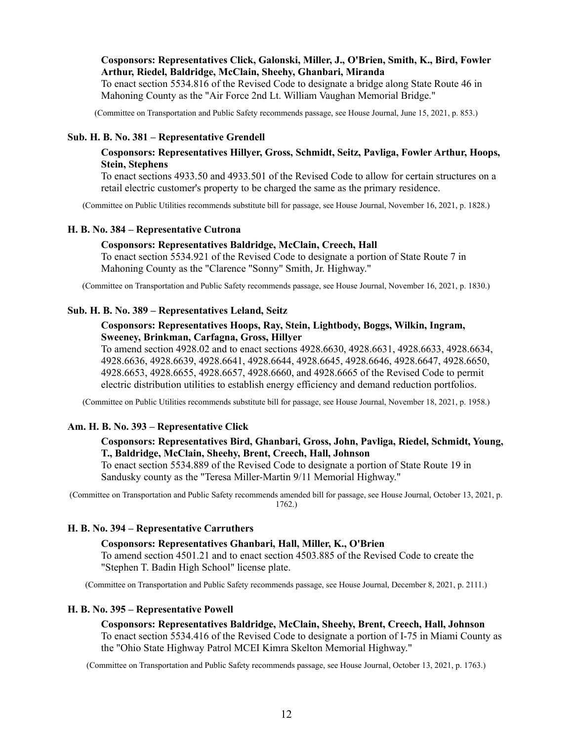### **Cosponsors: Representatives Click, Galonski, Miller, J., O'Brien, Smith, K., Bird, Fowler Arthur, Riedel, Baldridge, McClain, Sheehy, Ghanbari, Miranda**

To enact section 5534.816 of the Revised Code to designate a bridge along State Route 46 in Mahoning County as the "Air Force 2nd Lt. William Vaughan Memorial Bridge."

(Committee on Transportation and Public Safety recommends passage, see House Journal, June 15, 2021, p. 853.)

### **Sub. H. B. No. 381 – Representative Grendell**

### **Cosponsors: Representatives Hillyer, Gross, Schmidt, Seitz, Pavliga, Fowler Arthur, Hoops, Stein, Stephens**

To enact sections 4933.50 and 4933.501 of the Revised Code to allow for certain structures on a retail electric customer's property to be charged the same as the primary residence.

(Committee on Public Utilities recommends substitute bill for passage, see House Journal, November 16, 2021, p. 1828.)

#### **H. B. No. 384 – Representative Cutrona**

#### **Cosponsors: Representatives Baldridge, McClain, Creech, Hall**

To enact section 5534.921 of the Revised Code to designate a portion of State Route 7 in Mahoning County as the "Clarence "Sonny" Smith, Jr. Highway."

(Committee on Transportation and Public Safety recommends passage, see House Journal, November 16, 2021, p. 1830.)

### **Sub. H. B. No. 389 – Representatives Leland, Seitz**

### **Cosponsors: Representatives Hoops, Ray, Stein, Lightbody, Boggs, Wilkin, Ingram, Sweeney, Brinkman, Carfagna, Gross, Hillyer**

To amend section 4928.02 and to enact sections 4928.6630, 4928.6631, 4928.6633, 4928.6634, 4928.6636, 4928.6639, 4928.6641, 4928.6644, 4928.6645, 4928.6646, 4928.6647, 4928.6650, 4928.6653, 4928.6655, 4928.6657, 4928.6660, and 4928.6665 of the Revised Code to permit electric distribution utilities to establish energy efficiency and demand reduction portfolios.

(Committee on Public Utilities recommends substitute bill for passage, see House Journal, November 18, 2021, p. 1958.)

### **Am. H. B. No. 393 – Representative Click**

### **Cosponsors: Representatives Bird, Ghanbari, Gross, John, Pavliga, Riedel, Schmidt, Young, T., Baldridge, McClain, Sheehy, Brent, Creech, Hall, Johnson**

To enact section 5534.889 of the Revised Code to designate a portion of State Route 19 in Sandusky county as the "Teresa Miller-Martin 9/11 Memorial Highway."

(Committee on Transportation and Public Safety recommends amended bill for passage, see House Journal, October 13, 2021, p. 1762.)

### **H. B. No. 394 – Representative Carruthers**

# **Cosponsors: Representatives Ghanbari, Hall, Miller, K., O'Brien**

To amend section 4501.21 and to enact section 4503.885 of the Revised Code to create the "Stephen T. Badin High School" license plate.

(Committee on Transportation and Public Safety recommends passage, see House Journal, December 8, 2021, p. 2111.)

### **H. B. No. 395 – Representative Powell**

**Cosponsors: Representatives Baldridge, McClain, Sheehy, Brent, Creech, Hall, Johnson** To enact section 5534.416 of the Revised Code to designate a portion of I-75 in Miami County as the "Ohio State Highway Patrol MCEI Kimra Skelton Memorial Highway."

(Committee on Transportation and Public Safety recommends passage, see House Journal, October 13, 2021, p. 1763.)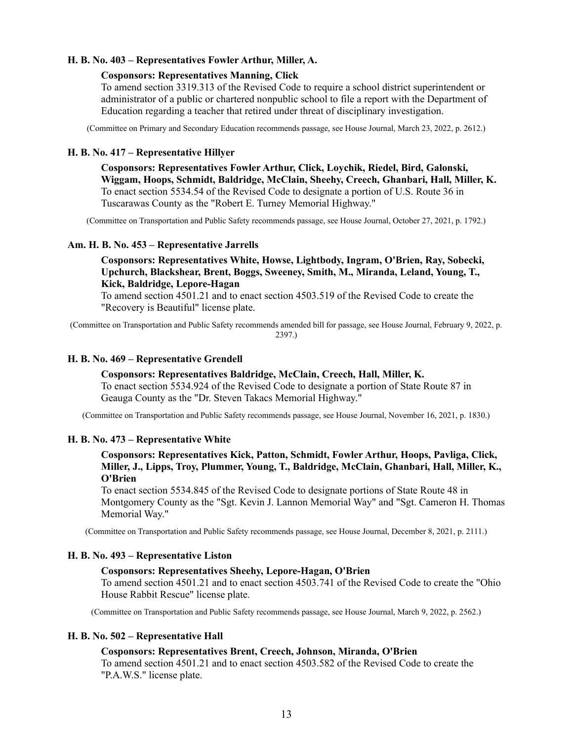# **H. B. No. 403 – Representatives Fowler Arthur, Miller, A.**

### **Cosponsors: Representatives Manning, Click**

To amend section 3319.313 of the Revised Code to require a school district superintendent or administrator of a public or chartered nonpublic school to file a report with the Department of Education regarding a teacher that retired under threat of disciplinary investigation.

(Committee on Primary and Secondary Education recommends passage, see House Journal, March 23, 2022, p. 2612.)

### **H. B. No. 417 – Representative Hillyer**

**Cosponsors: Representatives Fowler Arthur, Click, Loychik, Riedel, Bird, Galonski, Wiggam, Hoops, Schmidt, Baldridge, McClain, Sheehy, Creech, Ghanbari, Hall, Miller, K.** To enact section 5534.54 of the Revised Code to designate a portion of U.S. Route 36 in Tuscarawas County as the "Robert E. Turney Memorial Highway."

(Committee on Transportation and Public Safety recommends passage, see House Journal, October 27, 2021, p. 1792.)

## **Am. H. B. No. 453 – Representative Jarrells**

# **Cosponsors: Representatives White, Howse, Lightbody, Ingram, O'Brien, Ray, Sobecki, Upchurch, Blackshear, Brent, Boggs, Sweeney, Smith, M., Miranda, Leland, Young, T., Kick, Baldridge, Lepore-Hagan**

To amend section 4501.21 and to enact section 4503.519 of the Revised Code to create the "Recovery is Beautiful" license plate.

(Committee on Transportation and Public Safety recommends amended bill for passage, see House Journal, February 9, 2022, p. 2397.)

### **H. B. No. 469 – Representative Grendell**

### **Cosponsors: Representatives Baldridge, McClain, Creech, Hall, Miller, K.**

To enact section 5534.924 of the Revised Code to designate a portion of State Route 87 in Geauga County as the "Dr. Steven Takacs Memorial Highway."

(Committee on Transportation and Public Safety recommends passage, see House Journal, November 16, 2021, p. 1830.)

# **H. B. No. 473 – Representative White**

# **Cosponsors: Representatives Kick, Patton, Schmidt, Fowler Arthur, Hoops, Pavliga, Click, Miller, J., Lipps, Troy, Plummer, Young, T., Baldridge, McClain, Ghanbari, Hall, Miller, K., O'Brien**

To enact section 5534.845 of the Revised Code to designate portions of State Route 48 in Montgomery County as the "Sgt. Kevin J. Lannon Memorial Way" and "Sgt. Cameron H. Thomas Memorial Way."

(Committee on Transportation and Public Safety recommends passage, see House Journal, December 8, 2021, p. 2111.)

### **H. B. No. 493 – Representative Liston**

### **Cosponsors: Representatives Sheehy, Lepore-Hagan, O'Brien**

To amend section 4501.21 and to enact section 4503.741 of the Revised Code to create the "Ohio House Rabbit Rescue" license plate.

(Committee on Transportation and Public Safety recommends passage, see House Journal, March 9, 2022, p. 2562.)

### **H. B. No. 502 – Representative Hall**

### **Cosponsors: Representatives Brent, Creech, Johnson, Miranda, O'Brien**

To amend section 4501.21 and to enact section 4503.582 of the Revised Code to create the "P.A.W.S." license plate.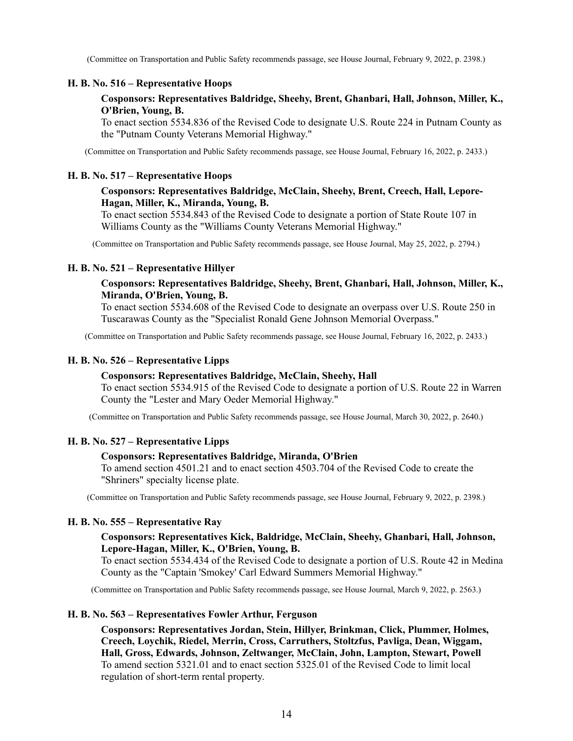(Committee on Transportation and Public Safety recommends passage, see House Journal, February 9, 2022, p. 2398.)

### **H. B. No. 516 – Representative Hoops**

# **Cosponsors: Representatives Baldridge, Sheehy, Brent, Ghanbari, Hall, Johnson, Miller, K., O'Brien, Young, B.**

To enact section 5534.836 of the Revised Code to designate U.S. Route 224 in Putnam County as the "Putnam County Veterans Memorial Highway."

(Committee on Transportation and Public Safety recommends passage, see House Journal, February 16, 2022, p. 2433.)

### **H. B. No. 517 – Representative Hoops**

# **Cosponsors: Representatives Baldridge, McClain, Sheehy, Brent, Creech, Hall, Lepore-Hagan, Miller, K., Miranda, Young, B.**

To enact section 5534.843 of the Revised Code to designate a portion of State Route 107 in Williams County as the "Williams County Veterans Memorial Highway."

(Committee on Transportation and Public Safety recommends passage, see House Journal, May 25, 2022, p. 2794.)

#### **H. B. No. 521 – Representative Hillyer**

# **Cosponsors: Representatives Baldridge, Sheehy, Brent, Ghanbari, Hall, Johnson, Miller, K., Miranda, O'Brien, Young, B.**

To enact section 5534.608 of the Revised Code to designate an overpass over U.S. Route 250 in Tuscarawas County as the "Specialist Ronald Gene Johnson Memorial Overpass."

(Committee on Transportation and Public Safety recommends passage, see House Journal, February 16, 2022, p. 2433.)

### **H. B. No. 526 – Representative Lipps**

### **Cosponsors: Representatives Baldridge, McClain, Sheehy, Hall**

To enact section 5534.915 of the Revised Code to designate a portion of U.S. Route 22 in Warren County the "Lester and Mary Oeder Memorial Highway."

(Committee on Transportation and Public Safety recommends passage, see House Journal, March 30, 2022, p. 2640.)

#### **H. B. No. 527 – Representative Lipps**

#### **Cosponsors: Representatives Baldridge, Miranda, O'Brien**

To amend section 4501.21 and to enact section 4503.704 of the Revised Code to create the "Shriners" specialty license plate.

(Committee on Transportation and Public Safety recommends passage, see House Journal, February 9, 2022, p. 2398.)

#### **H. B. No. 555 – Representative Ray**

# **Cosponsors: Representatives Kick, Baldridge, McClain, Sheehy, Ghanbari, Hall, Johnson, Lepore-Hagan, Miller, K., O'Brien, Young, B.**

To enact section 5534.434 of the Revised Code to designate a portion of U.S. Route 42 in Medina County as the "Captain 'Smokey' Carl Edward Summers Memorial Highway."

(Committee on Transportation and Public Safety recommends passage, see House Journal, March 9, 2022, p. 2563.)

#### **H. B. No. 563 – Representatives Fowler Arthur, Ferguson**

**Cosponsors: Representatives Jordan, Stein, Hillyer, Brinkman, Click, Plummer, Holmes, Creech, Loychik, Riedel, Merrin, Cross, Carruthers, Stoltzfus, Pavliga, Dean, Wiggam, Hall, Gross, Edwards, Johnson, Zeltwanger, McClain, John, Lampton, Stewart, Powell** To amend section 5321.01 and to enact section 5325.01 of the Revised Code to limit local regulation of short-term rental property.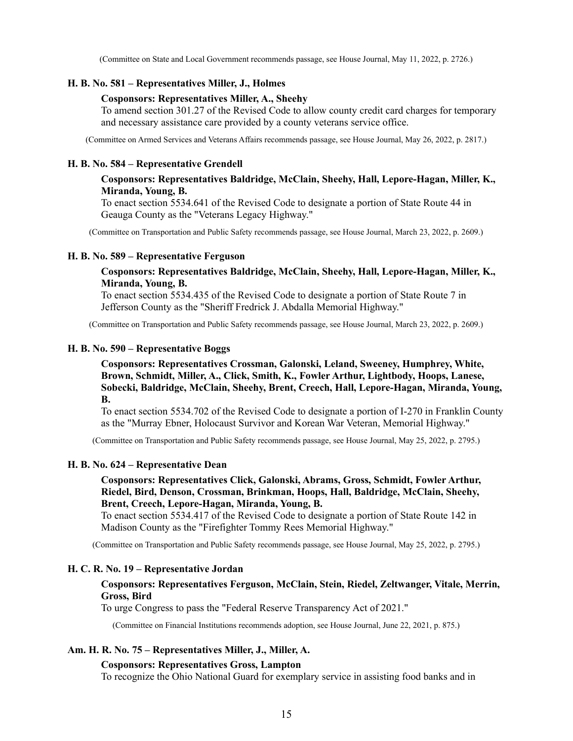(Committee on State and Local Government recommends passage, see House Journal, May 11, 2022, p. 2726.)

### **H. B. No. 581 – Representatives Miller, J., Holmes**

#### **Cosponsors: Representatives Miller, A., Sheehy**

To amend section 301.27 of the Revised Code to allow county credit card charges for temporary and necessary assistance care provided by a county veterans service office.

(Committee on Armed Services and Veterans Affairs recommends passage, see House Journal, May 26, 2022, p. 2817.)

#### **H. B. No. 584 – Representative Grendell**

### **Cosponsors: Representatives Baldridge, McClain, Sheehy, Hall, Lepore-Hagan, Miller, K., Miranda, Young, B.**

To enact section 5534.641 of the Revised Code to designate a portion of State Route 44 in Geauga County as the "Veterans Legacy Highway."

(Committee on Transportation and Public Safety recommends passage, see House Journal, March 23, 2022, p. 2609.)

#### **H. B. No. 589 – Representative Ferguson**

### **Cosponsors: Representatives Baldridge, McClain, Sheehy, Hall, Lepore-Hagan, Miller, K., Miranda, Young, B.**

To enact section 5534.435 of the Revised Code to designate a portion of State Route 7 in Jefferson County as the "Sheriff Fredrick J. Abdalla Memorial Highway."

(Committee on Transportation and Public Safety recommends passage, see House Journal, March 23, 2022, p. 2609.)

#### **H. B. No. 590 – Representative Boggs**

**Cosponsors: Representatives Crossman, Galonski, Leland, Sweeney, Humphrey, White, Brown, Schmidt, Miller, A., Click, Smith, K., Fowler Arthur, Lightbody, Hoops, Lanese, Sobecki, Baldridge, McClain, Sheehy, Brent, Creech, Hall, Lepore-Hagan, Miranda, Young, B.**

To enact section 5534.702 of the Revised Code to designate a portion of I-270 in Franklin County as the "Murray Ebner, Holocaust Survivor and Korean War Veteran, Memorial Highway."

(Committee on Transportation and Public Safety recommends passage, see House Journal, May 25, 2022, p. 2795.)

#### **H. B. No. 624 – Representative Dean**

# **Cosponsors: Representatives Click, Galonski, Abrams, Gross, Schmidt, Fowler Arthur, Riedel, Bird, Denson, Crossman, Brinkman, Hoops, Hall, Baldridge, McClain, Sheehy, Brent, Creech, Lepore-Hagan, Miranda, Young, B.**

To enact section 5534.417 of the Revised Code to designate a portion of State Route 142 in Madison County as the "Firefighter Tommy Rees Memorial Highway."

(Committee on Transportation and Public Safety recommends passage, see House Journal, May 25, 2022, p. 2795.)

#### **H. C. R. No. 19 – Representative Jordan**

#### **Cosponsors: Representatives Ferguson, McClain, Stein, Riedel, Zeltwanger, Vitale, Merrin, Gross, Bird**

To urge Congress to pass the "Federal Reserve Transparency Act of 2021."

(Committee on Financial Institutions recommends adoption, see House Journal, June 22, 2021, p. 875.)

### **Am. H. R. No. 75 – Representatives Miller, J., Miller, A.**

### **Cosponsors: Representatives Gross, Lampton**

To recognize the Ohio National Guard for exemplary service in assisting food banks and in